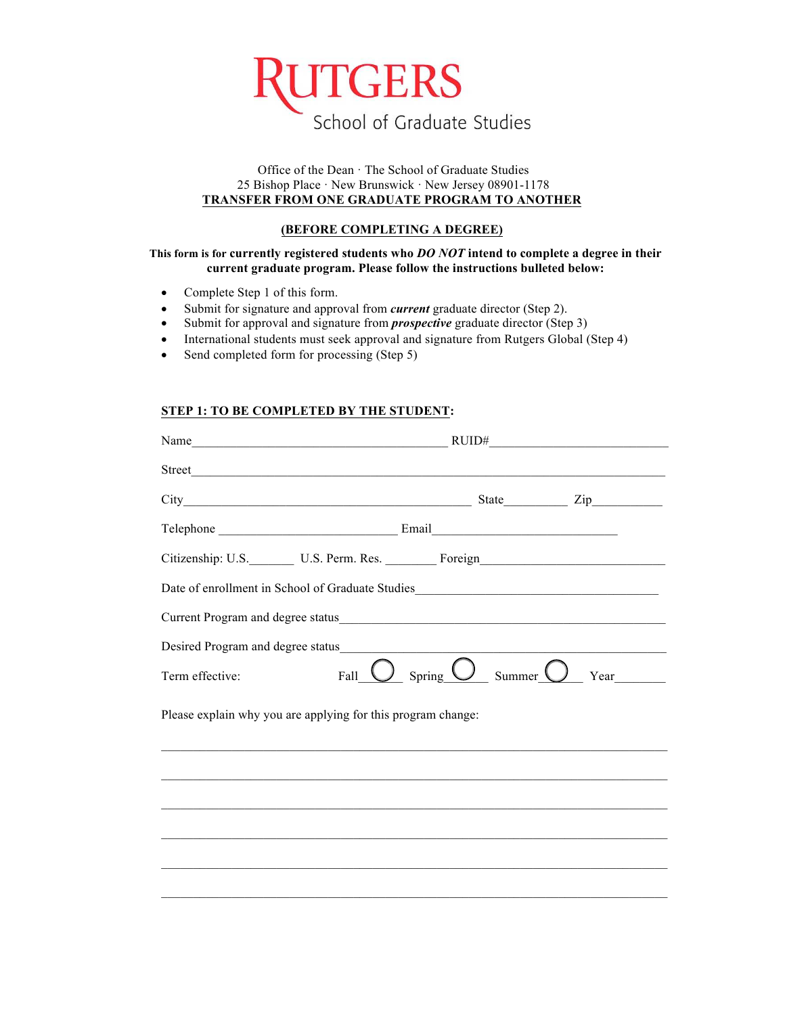

## Office of the Dean · The School of Graduate Studies 25 Bishop Place · New Brunswick · New Jersey 08901-1178 **TRANSFER FROM ONE GRADUATE PROGRAM TO ANOTHER**

## **(BEFORE COMPLETING A DEGREE)**

## **This form is for currently registered students who** *DO NOT* **intend to complete a degree in their current graduate program. Please follow the instructions bulleted below:**

- Complete Step 1 of this form.
- Submit for signature and approval from *current* graduate director (Step 2).
- Submit for approval and signature from *prospective* graduate director (Step 3)
- International students must seek approval and signature from Rutgers Global (Step 4)
- Send completed form for processing (Step 5)

# **STEP 1: TO BE COMPLETED BY THE STUDENT:**

| Name $\qquad \qquad \text{RUIDH}$                                                                                                                                                                                              |                                                  |                      |
|--------------------------------------------------------------------------------------------------------------------------------------------------------------------------------------------------------------------------------|--------------------------------------------------|----------------------|
| Street and the state of the state of the state of the state of the state of the state of the state of the state of the state of the state of the state of the state of the state of the state of the state of the state of the |                                                  |                      |
|                                                                                                                                                                                                                                |                                                  |                      |
|                                                                                                                                                                                                                                |                                                  |                      |
| Citizenship: U.S. Letterm. Res. Compared Foreign                                                                                                                                                                               |                                                  |                      |
| Date of enrollment in School of Graduate Studies_________________________________                                                                                                                                              |                                                  |                      |
|                                                                                                                                                                                                                                |                                                  |                      |
|                                                                                                                                                                                                                                |                                                  |                      |
| Term effective:                                                                                                                                                                                                                | Fall $\bigcup$ Spring $\bigcup$ Summer $\bigcup$ | Year $\qquad \qquad$ |
| Please explain why you are applying for this program change:                                                                                                                                                                   |                                                  |                      |
|                                                                                                                                                                                                                                |                                                  |                      |

 $\_$  , and the set of the set of the set of the set of the set of the set of the set of the set of the set of the set of the set of the set of the set of the set of the set of the set of the set of the set of the set of th